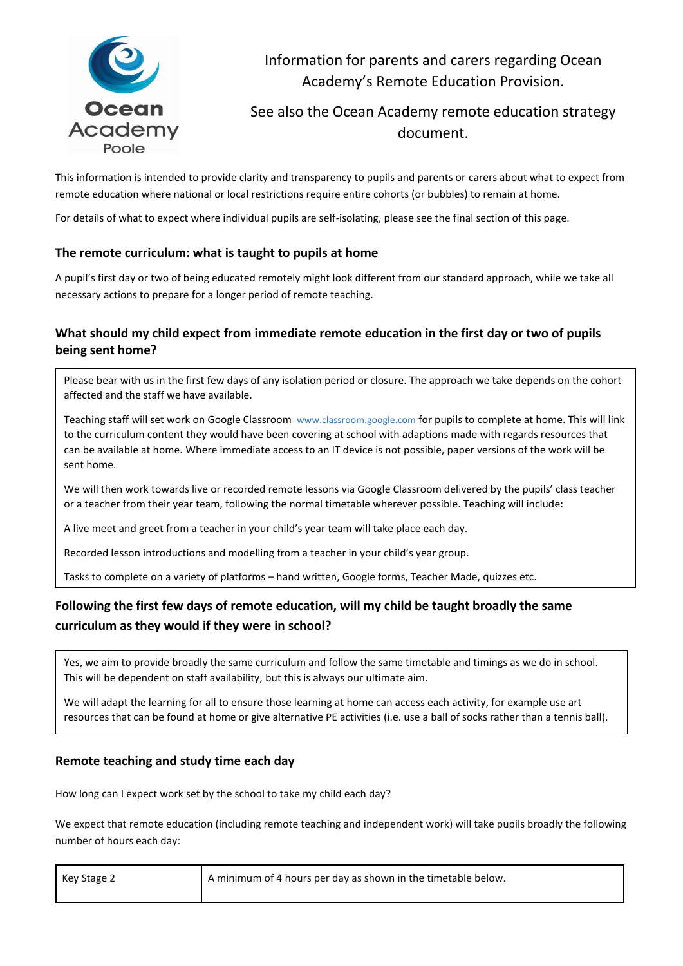

Information for parents and carers regarding Ocean Academy's Remote Education Provision.

# See also the Ocean Academy remote education strategy document.

This information is intended to provide clarity and transparency to pupils and parents or carers about what to expect from remote education where national or local restrictions require entire cohorts (or bubbles) to remain at home.

For details of what to expect where individual pupils are self-isolating, please see the final section of this page.

### **The remote curriculum: what is taught to pupils at home**

A pupil's first day or two of being educated remotely might look different from our standard approach, while we take all necessary actions to prepare for a longer period of remote teaching.

# **What should my child expect from immediate remote education in the first day or two of pupils being sent home?**

Please bear with us in the first few days of any isolation period or closure. The approach we take depends on the cohort affected and the staff we have available.

Teaching staff will set work on Google Classroom [www.classroom.google.com](http://www.classroom.google.com/) for pupils to complete at home. This will link to the curriculum content they would have been covering at school with adaptions made with regards resources that can be available at home. Where immediate access to an IT device is not possible, paper versions of the work will be sent home.

We will then work towards live or recorded remote lessons via Google Classroom delivered by the pupils' class teacher or a teacher from their year team, following the normal timetable wherever possible. Teaching will include:

A live meet and greet from a teacher in your child's year team will take place each day.

Recorded lesson introductions and modelling from a teacher in your child's year group.

Tasks to complete on a variety of platforms – hand written, Google forms, Teacher Made, quizzes etc.

# **Following the first few days of remote education, will my child be taught broadly the same curriculum as they would if they were in school?**

Yes, we aim to provide broadly the same curriculum and follow the same timetable and timings as we do in school. This will be dependent on staff availability, but this is always our ultimate aim.

We will adapt the learning for all to ensure those learning at home can access each activity, for example use art resources that can be found at home or give alternative PE activities (i.e. use a ball of socks rather than a tennis ball).

### **Remote teaching and study time each day**

How long can I expect work set by the school to take my child each day?

We expect that remote education (including remote teaching and independent work) will take pupils broadly the following number of hours each day:

| Key Stage 2 | A minimum of 4 hours per day as shown in the timetable below. |
|-------------|---------------------------------------------------------------|
|             |                                                               |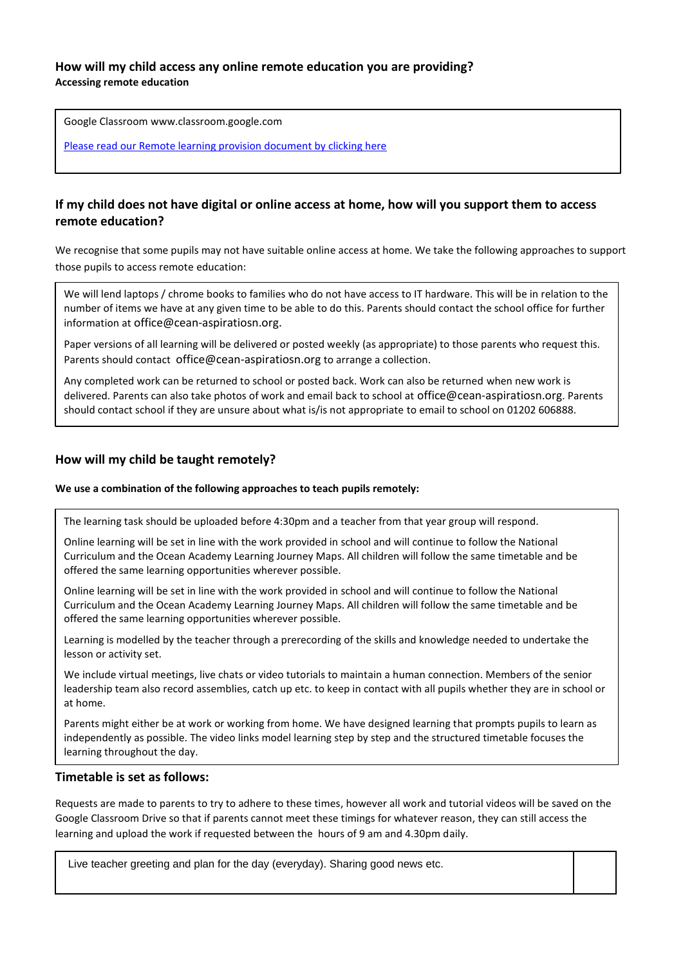### **How will my child access any online remote education you are providing? Accessing remote education**

Google Classroom [www.classroom.google.com](http://www.classroom.google.com/)

[Please read our Remote learning provision document by clicking here](file://///aat.internal/ocean$/StaffHome/LTharme/Downloads/Remote%20Education%20(Ocean)%20Final%20(1).docx)

## **If my child does not have digital or online access at home, how will you support them to access remote education?**

We recognise that some pupils may not have suitable online access at home. We take the following approaches to support those pupils to access remote education:

We will lend laptops / chrome books to families who do not have access to IT hardware. This will be in relation to the number of items we have at any given time to be able to do this. Parents should contact the school office for further information at [office@cean-aspiratiosn.org.](mailto:office@cean-aspiratiosn.org)

Paper versions of all learning will be delivered or posted weekly (as appropriate) to those parents who request this. Parents should contact [office@cean-aspiratiosn.org](mailto:office@cean-aspiratiosn.org) to arrange a collection.

Any completed work can be returned to school or posted back. Work can also be returned when new work is delivered. Parents can also take photos of work and email back to school at [office@cean-aspiratiosn.org](mailto:office@cean-aspiratiosn.org). Parents should contact school if they are unsure about what is/is not appropriate to email to school on 01202 606888.

### **How will my child be taught remotely?**

#### **We use a combination of the following approaches to teach pupils remotely:**

The learning task should be uploaded before 4:30pm and a teacher from that year group will respond.

Online learning will be set in line with the work provided in school and will continue to follow the National Curriculum and the Ocean Academy Learning Journey Maps. All children will follow the same timetable and be offered the same learning opportunities wherever possible.

Online learning will be set in line with the work provided in school and will continue to follow the National Curriculum and the Ocean Academy Learning Journey Maps. All children will follow the same timetable and be offered the same learning opportunities wherever possible.

Learning is modelled by the teacher through a prerecording of the skills and knowledge needed to undertake the lesson or activity set.

We include virtual meetings, live chats or video tutorials to maintain a human connection. Members of the senior leadership team also record assemblies, catch up etc. to keep in contact with all pupils whether they are in school or at home.

Parents might either be at work or working from home. We have designed learning that prompts pupils to learn as independently as possible. The video links model learning step by step and the structured timetable focuses the learning throughout the day.

#### **Timetable is set as follows:** The day and the day and the day and the day and the teachers throughout the teachers can respond the teachers can respond the teachers can respond to the teachers can respond to the teachers contact the school of support as needed. This includes support as needed. This includes support and technical with schoolwork and technical with schoolwork and technical with schoolwork and technical with schoolwork and te

Requests are made to parents to try to adhere to these times, however all work and tutorial videos will be saved on the Google Classroom Drive so that if parents cannot meet these timings for whatever reason, they can still access the learning and upload the work if requested between the hours of 9 am and 4.30pm daily.

Live teacher greeting and plan for the day (everyday). Sharing good news etc.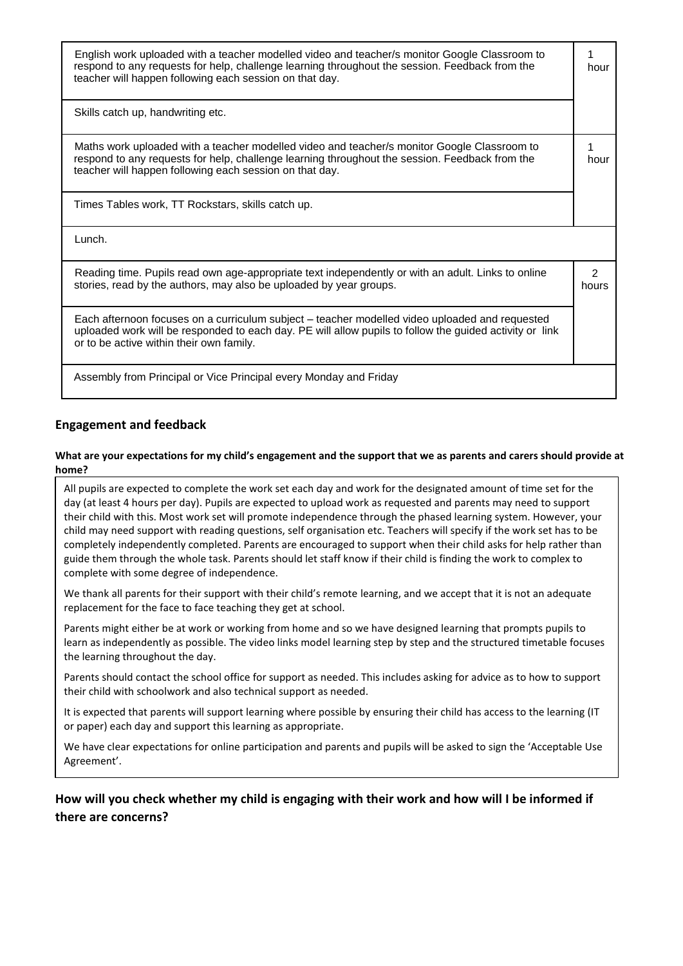| English work uploaded with a teacher modelled video and teacher/s monitor Google Classroom to<br>respond to any requests for help, challenge learning throughout the session. Feedback from the<br>teacher will happen following each session on that day. |                        |
|------------------------------------------------------------------------------------------------------------------------------------------------------------------------------------------------------------------------------------------------------------|------------------------|
| Skills catch up, handwriting etc.                                                                                                                                                                                                                          |                        |
| Maths work uploaded with a teacher modelled video and teacher/s monitor Google Classroom to<br>respond to any requests for help, challenge learning throughout the session. Feedback from the<br>teacher will happen following each session on that day.   | 1<br>hour              |
| Times Tables work, TT Rockstars, skills catch up.                                                                                                                                                                                                          |                        |
| Lunch.                                                                                                                                                                                                                                                     |                        |
| Reading time. Pupils read own age-appropriate text independently or with an adult. Links to online<br>stories, read by the authors, may also be uploaded by year groups.                                                                                   | $\mathcal{P}$<br>hours |
| Each afternoon focuses on a curriculum subject – teacher modelled video uploaded and requested<br>uploaded work will be responded to each day. PE will allow pupils to follow the guided activity or link<br>or to be active within their own family.      |                        |
| Assembly from Principal or Vice Principal every Monday and Friday                                                                                                                                                                                          |                        |

# **Engagement and feedback**

#### **What are your expectations for my child's engagement and the support that we as parents and carers should provide at home?**

All pupils are expected to complete the work set each day and work for the designated amount of time set for the day (at least 4 hours per day). Pupils are expected to upload work as requested and parents may need to support their child with this. Most work set will promote independence through the phased learning system. However, your child may need support with reading questions, self organisation etc. Teachers will specify if the work set has to be completely independently completed. Parents are encouraged to support when their child asks for help rather than guide them through the whole task. Parents should let staff know if their child is finding the work to complex to complete with some degree of independence.

We thank all parents for their support with their child's remote learning, and we accept that it is not an adequate replacement for the face to face teaching they get at school.

Parents might either be at work or working from home and so we have designed learning that prompts pupils to learn as independently as possible. The video links model learning step by step and the structured timetable focuses the learning throughout the day.

Parents should contact the school office for support as needed. This includes asking for advice as to how to support their child with schoolwork and also technical support as needed.

It is expected that parents will support learning where possible by ensuring their child has access to the learning (IT or paper) each day and support this learning as appropriate.

We have clear expectations for online participation and parents and pupils will be asked to sign the 'Acceptable Use Agreement'.

# **How will you check whether my child is engaging with their work and how will I be informed if there are concerns?**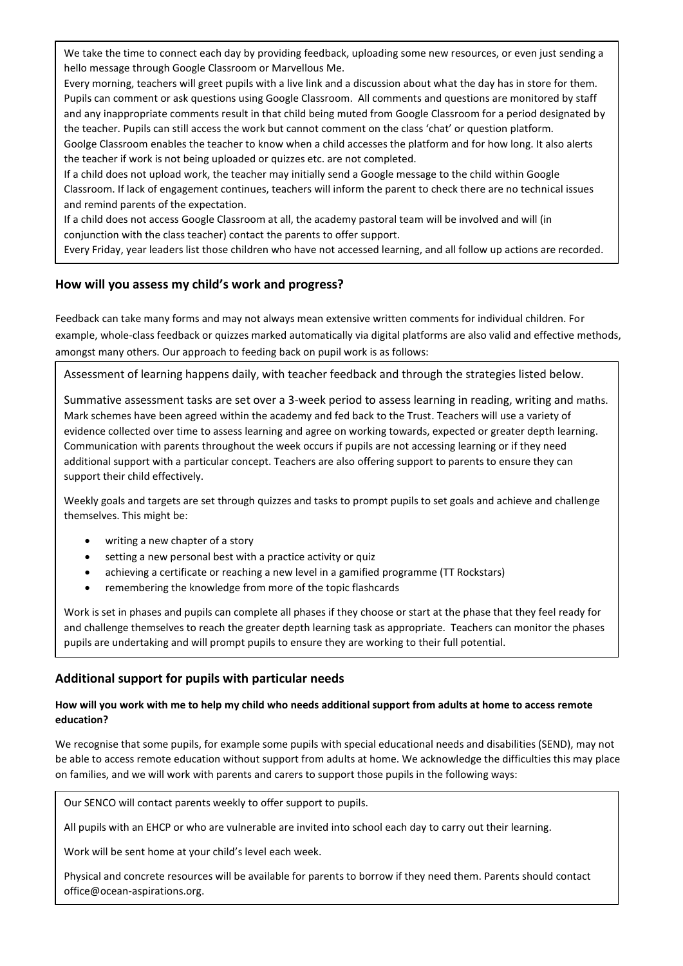We take the time to connect each day by providing feedback, uploading some new resources, or even just sending a hello message through Google Classroom or Marvellous Me.

Every morning, teachers will greet pupils with a live link and a discussion about what the day has in store for them. Pupils can comment or ask questions using Google Classroom. All comments and questions are monitored by staff and any inappropriate comments result in that child being muted from Google Classroom for a period designated by the teacher. Pupils can still access the work but cannot comment on the class 'chat' or question platform. Goolge Classroom enables the teacher to know when a child accesses the platform and for how long. It also alerts the teacher if work is not being uploaded or quizzes etc. are not completed.

If a child does not upload work, the teacher may initially send a Google message to the child within Google Classroom. If lack of engagement continues, teachers will inform the parent to check there are no technical issues and remind parents of the expectation.

If a child does not access Google Classroom at all, the academy pastoral team will be involved and will (in conjunction with the class teacher) contact the parents to offer support.

Every Friday, year leaders list those children who have not accessed learning, and all follow up actions are recorded.

# **How will you assess my child's work and progress?**

Feedback can take many forms and may not always mean extensive written comments for individual children. For example, whole-class feedback or quizzes marked automatically via digital platforms are also valid and effective methods, amongst many others. Our approach to feeding back on pupil work is as follows:

Assessment of learning happens daily, with teacher feedback and through the strategies listed below.

Summative assessment tasks are set over a 3-week period to assess learning in reading, writing and maths. Mark schemes have been agreed within the academy and fed back to the Trust. Teachers will use a variety of evidence collected over time to assess learning and agree on working towards, expected or greater depth learning. Communication with parents throughout the week occurs if pupils are not accessing learning or if they need additional support with a particular concept. Teachers are also offering support to parents to ensure they can support their child effectively.

Weekly goals and targets are set through quizzes and tasks to prompt pupils to set goals and achieve and challenge themselves. This might be:

- writing a new chapter of a story
- setting a new personal best with a practice activity or quiz
- achieving a certificate or reaching a new level in a gamified programme (TT Rockstars)
- remembering the knowledge from more of the topic flashcards

Work is set in phases and pupils can complete all phases if they choose or start at the phase that they feel ready for and challenge themselves to reach the greater depth learning task as appropriate. Teachers can monitor the phases pupils are undertaking and will prompt pupils to ensure they are working to their full potential.

### **Additional support for pupils with particular needs**

### **How will you work with me to help my child who needs additional support from adults at home to access remote education?**

We recognise that some pupils, for example some pupils with special educational needs and disabilities (SEND), may not be able to access remote education without support from adults at home. We acknowledge the difficulties this may place on families, and we will work with parents and carers to support those pupils in the following ways:

Our SENCO will contact parents weekly to offer support to pupils.

All pupils with an EHCP or who are vulnerable are invited into school each day to carry out their learning.

Work will be sent home at your child's level each week.

Physical and concrete resources will be available for parents to borrow if they need them. Parents should contact office@ocean-aspirations.org.